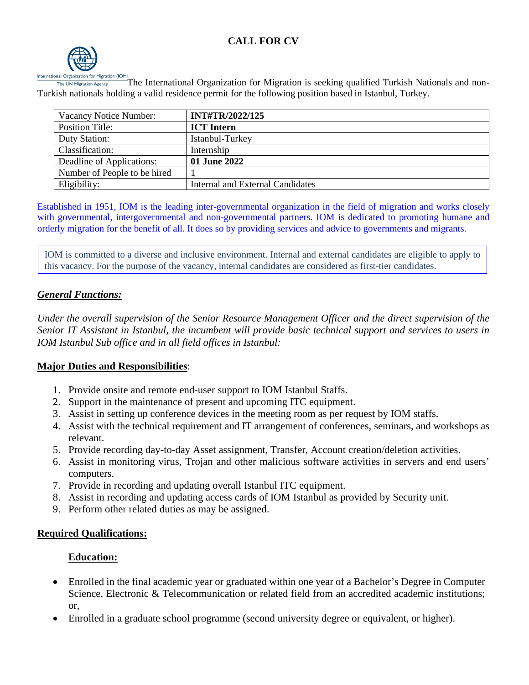# **CALL FOR CV**



The International Organization for Migration is seeking qualified Turkish Nationals and non-The UN Migration Agency Turkish nationals holding a valid residence permit for the following position based in Istanbul, Turkey.

| Vacancy Notice Number:       | <b>INT#TR/2022/125</b>           |
|------------------------------|----------------------------------|
| <b>Position Title:</b>       | <b>ICT</b> Intern                |
| Duty Station:                | Istanbul-Turkey                  |
| Classification:              | Internship                       |
| Deadline of Applications:    | 01 June 2022                     |
| Number of People to be hired |                                  |
| Eligibility:                 | Internal and External Candidates |

Established in 1951, IOM is the leading inter-governmental organization in the field of migration and works closely with governmental, intergovernmental and non-governmental partners. IOM is dedicated to promoting humane and orderly migration for the benefit of all. It does so by providing services and advice to governments and migrants.

IOM is committed to a diverse and inclusive environment. Internal and external candidates are eligible to apply to this vacancy. For the purpose of the vacancy, internal candidates are considered as first-tier candidates.

### *General Functions:*

*Under the overall supervision of the Senior Resource Management Officer and the direct supervision of the Senior IT Assistant in Istanbul, the incumbent will provide basic technical support and services to users in IOM Istanbul Sub office and in all field offices in Istanbul:* 

#### **Major Duties and Responsibilities**:

- 1. Provide onsite and remote end-user support to IOM Istanbul Staffs.
- 2. Support in the maintenance of present and upcoming ITC equipment.
- 3. Assist in setting up conference devices in the meeting room as per request by IOM staffs.
- 4. Assist with the technical requirement and IT arrangement of conferences, seminars, and workshops as relevant.
- 5. Provide recording day-to-day Asset assignment, Transfer, Account creation/deletion activities.
- 6. Assist in monitoring virus, Trojan and other malicious software activities in servers and end users' computers.
- 7. Provide in recording and updating overall Istanbul ITC equipment.
- 8. Assist in recording and updating access cards of IOM Istanbul as provided by Security unit.
- 9. Perform other related duties as may be assigned.

#### **Required Qualifications:**

### **Education:**

- Enrolled in the final academic year or graduated within one year of a Bachelor's Degree in Computer Science, Electronic & Telecommunication or related field from an accredited academic institutions; or,
- Enrolled in a graduate school programme (second university degree or equivalent, or higher).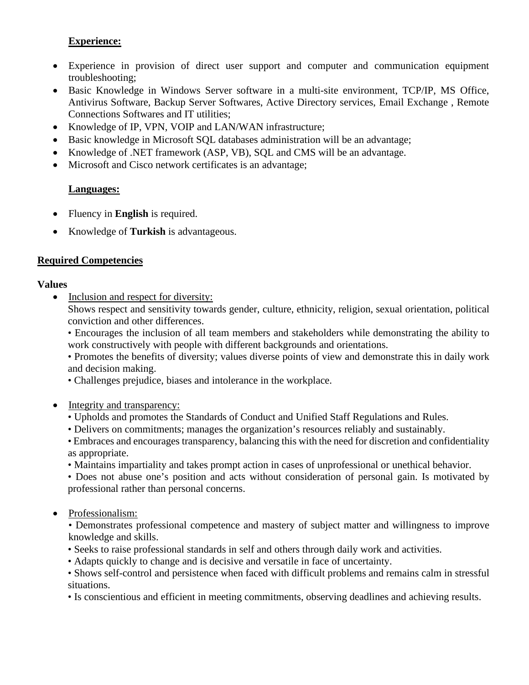# **Experience:**

- Experience in provision of direct user support and computer and communication equipment troubleshooting;
- Basic Knowledge in Windows Server software in a multi-site environment, TCP/IP, MS Office, Antivirus Software, Backup Server Softwares, Active Directory services, Email Exchange , Remote Connections Softwares and IT utilities;
- Knowledge of IP, VPN, VOIP and LAN/WAN infrastructure;
- Basic knowledge in Microsoft SQL databases administration will be an advantage;
- Knowledge of .NET framework (ASP, VB), SQL and CMS will be an advantage.
- Microsoft and Cisco network certificates is an advantage;

### **Languages:**

- Fluency in **English** is required.
- Knowledge of **Turkish** is advantageous.

### **Required Competencies**

#### **Values**

• Inclusion and respect for diversity:

Shows respect and sensitivity towards gender, culture, ethnicity, religion, sexual orientation, political conviction and other differences.

• Encourages the inclusion of all team members and stakeholders while demonstrating the ability to work constructively with people with different backgrounds and orientations.

• Promotes the benefits of diversity; values diverse points of view and demonstrate this in daily work and decision making.

• Challenges prejudice, biases and intolerance in the workplace.

- Integrity and transparency:
	- Upholds and promotes the Standards of Conduct and Unified Staff Regulations and Rules.
	- Delivers on commitments; manages the organization's resources reliably and sustainably.
	- Embraces and encourages transparency, balancing this with the need for discretion and confidentiality as appropriate.
	- Maintains impartiality and takes prompt action in cases of unprofessional or unethical behavior.

• Does not abuse one's position and acts without consideration of personal gain. Is motivated by professional rather than personal concerns.

- Professionalism:
	- Demonstrates professional competence and mastery of subject matter and willingness to improve knowledge and skills.
	- Seeks to raise professional standards in self and others through daily work and activities.
	- Adapts quickly to change and is decisive and versatile in face of uncertainty.

• Shows self-control and persistence when faced with difficult problems and remains calm in stressful situations.

• Is conscientious and efficient in meeting commitments, observing deadlines and achieving results.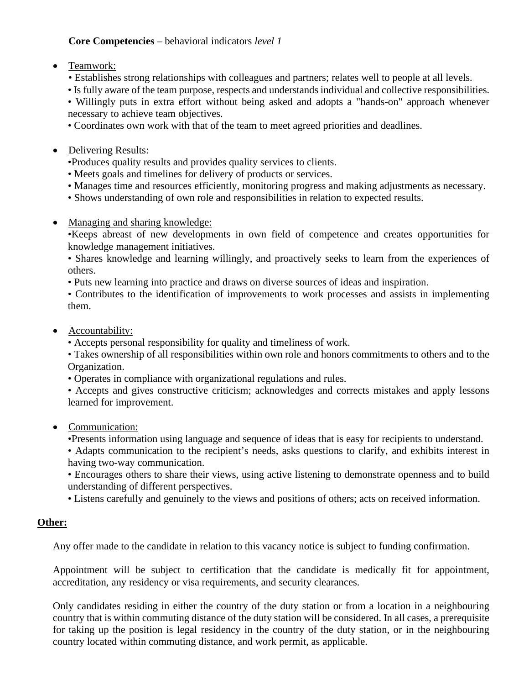# **Core Competencies** – behavioral indicators *level 1*

- Teamwork:
	- Establishes strong relationships with colleagues and partners; relates well to people at all levels.
	- Is fully aware of the team purpose, respects and understands individual and collective responsibilities.

• Willingly puts in extra effort without being asked and adopts a "hands-on" approach whenever necessary to achieve team objectives.

- Coordinates own work with that of the team to meet agreed priorities and deadlines.
- Delivering Results:

•Produces quality results and provides quality services to clients.

- Meets goals and timelines for delivery of products or services.
- Manages time and resources efficiently, monitoring progress and making adjustments as necessary.
- Shows understanding of own role and responsibilities in relation to expected results.
- Managing and sharing knowledge:

•Keeps abreast of new developments in own field of competence and creates opportunities for knowledge management initiatives.

• Shares knowledge and learning willingly, and proactively seeks to learn from the experiences of others.

• Puts new learning into practice and draws on diverse sources of ideas and inspiration.

• Contributes to the identification of improvements to work processes and assists in implementing them.

• Accountability:

• Accepts personal responsibility for quality and timeliness of work.

• Takes ownership of all responsibilities within own role and honors commitments to others and to the Organization.

• Operates in compliance with organizational regulations and rules.

• Accepts and gives constructive criticism; acknowledges and corrects mistakes and apply lessons learned for improvement.

### • Communication:

•Presents information using language and sequence of ideas that is easy for recipients to understand.

• Adapts communication to the recipient's needs, asks questions to clarify, and exhibits interest in having two-way communication.

• Encourages others to share their views, using active listening to demonstrate openness and to build understanding of different perspectives.

• Listens carefully and genuinely to the views and positions of others; acts on received information.

### **Other:**

Any offer made to the candidate in relation to this vacancy notice is subject to funding confirmation.

Appointment will be subject to certification that the candidate is medically fit for appointment, accreditation, any residency or visa requirements, and security clearances.

Only candidates residing in either the country of the duty station or from a location in a neighbouring country that is within commuting distance of the duty station will be considered. In all cases, a prerequisite for taking up the position is legal residency in the country of the duty station, or in the neighbouring country located within commuting distance, and work permit, as applicable.